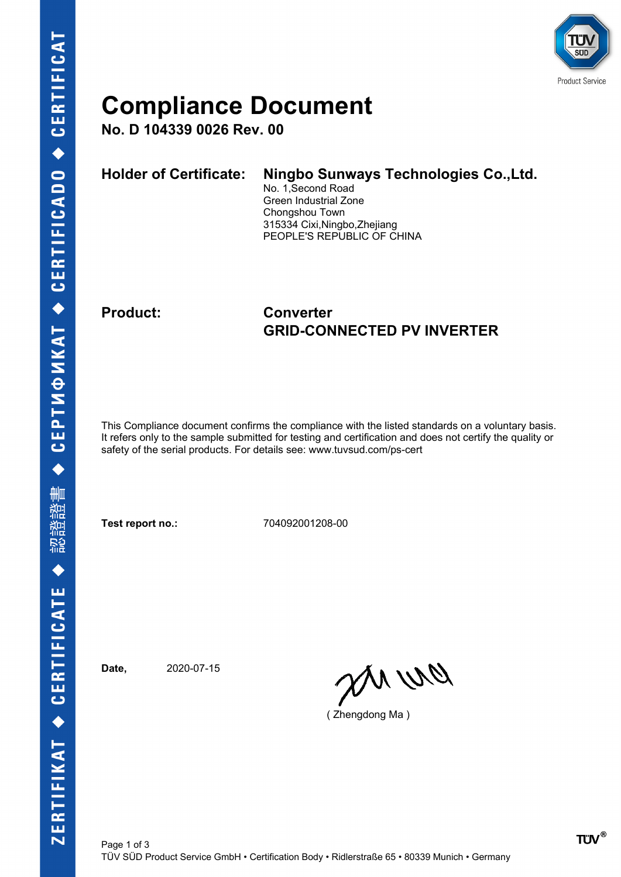

### **Compliance Document**

**No. D 104339 0026 Rev. 00**

| <b>Holder of Certificate:</b> | Ningbo Sunways Technologies Co., Ltd.<br>No. 1, Second Road<br>Green Industrial Zone<br>Chongshou Town<br>315334 Cixi, Ningbo, Zhejiang |
|-------------------------------|-----------------------------------------------------------------------------------------------------------------------------------------|
|                               | PEOPLE'S REPUBLIC OF CHINA                                                                                                              |

### **Product: Converter GRID-CONNECTED PV INVERTER**

This Compliance document confirms the compliance with the listed standards on a voluntary basis. It refers only to the sample submitted for testing and certification and does not certify the quality or safety of the serial products. For details see: www.tuvsud.com/ps-cert

**Test report no.:** 704092001208-00

**Date,** 2020-07-15

an wa

( Zhengdong Ma )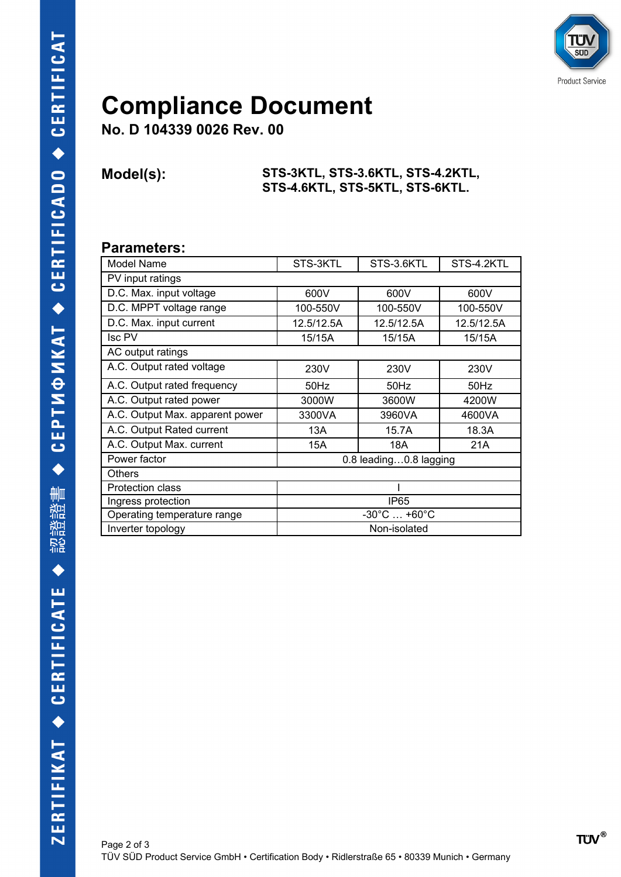

## **Compliance Document**

**No. D 104339 0026 Rev. 00**

#### **Model(s): STS-3KTL, STS-3.6KTL, STS-4.2KTL, STS-4.6KTL, STS-5KTL, STS-6KTL.**

### **Parameters:**

| Model Name                      | STS-3KTL                            | STS-3.6KTL | STS-4.2KTL |  |  |
|---------------------------------|-------------------------------------|------------|------------|--|--|
| PV input ratings                |                                     |            |            |  |  |
| D.C. Max. input voltage         | 600V                                | 600V       | 600V       |  |  |
| D.C. MPPT voltage range         | 100-550V                            | 100-550V   | 100-550V   |  |  |
| D.C. Max. input current         | 12.5/12.5A                          | 12.5/12.5A | 12.5/12.5A |  |  |
| <b>Isc PV</b>                   | 15/15A                              | 15/15A     | 15/15A     |  |  |
| AC output ratings               |                                     |            |            |  |  |
| A.C. Output rated voltage       | 230V                                | 230V       | 230V       |  |  |
| A.C. Output rated frequency     | 50Hz                                | $50$ Hz    | $50$ Hz    |  |  |
| A.C. Output rated power         | 3000W                               | 3600W      | 4200W      |  |  |
| A.C. Output Max. apparent power | 3300VA                              | 3960VA     | 4600VA     |  |  |
| A.C. Output Rated current       | 13A                                 | 15.7A      | 18.3A      |  |  |
| A.C. Output Max. current        | 15A                                 | 18A        | 21A        |  |  |
| Power factor                    | 0.8 leading0.8 lagging              |            |            |  |  |
| <b>Others</b>                   |                                     |            |            |  |  |
| <b>Protection class</b>         |                                     |            |            |  |  |
| Ingress protection              | IP <sub>65</sub>                    |            |            |  |  |
| Operating temperature range     | $-30^{\circ}$ C $$ +60 $^{\circ}$ C |            |            |  |  |
| Inverter topology               | Non-isolated                        |            |            |  |  |